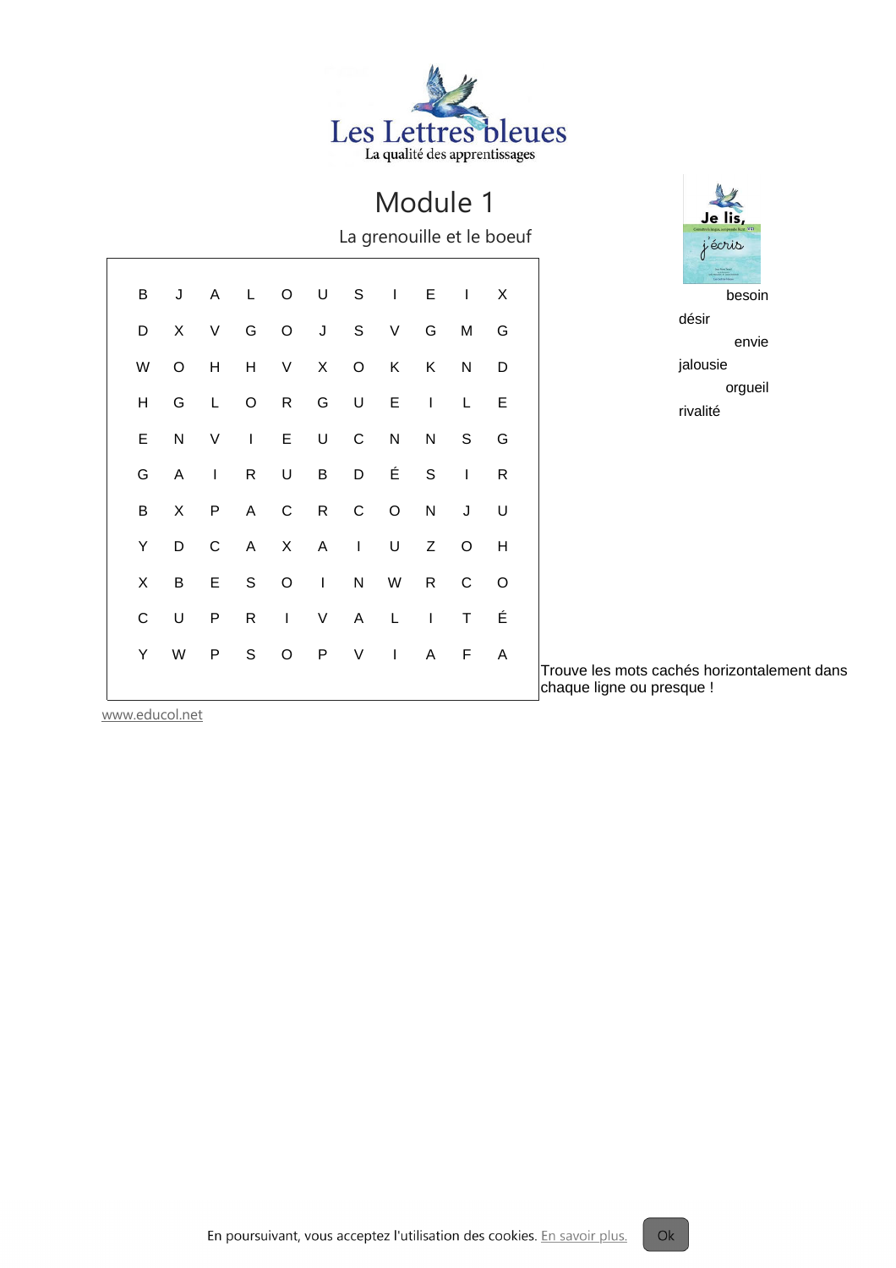

La grenouille et le boeuf

| B  |           |                |                |                |       |                | J A L O U S I E I |              |              | X |  |
|----|-----------|----------------|----------------|----------------|-------|----------------|-------------------|--------------|--------------|---|--|
| D  | X         | V              | G              |                |       |                | O J S V           | G .          | M            | G |  |
| W  | O         | Н              |                | H V            | $X -$ | $\overline{O}$ | K                 | K .          | ${\sf N}$    | D |  |
| H  | G         | L              | O <sub>R</sub> |                |       | G U            |                   | $E \qquad 1$ | L            | E |  |
| E  | ${\sf N}$ | $\vee$         |                | I E U C        |       |                | N                 | N            | S -          | G |  |
| G  | A         | $\sim 1$       |                | R U B          |       | D <sub>a</sub> | É.                |              | $S \qquad I$ | R |  |
| В  | X         | P <sub>1</sub> | A              | $\mathbf{C}$   | R     | $\mathsf{C}$   | $\circ$           | $N$ J        |              | U |  |
| Y  | D.        | $\mathsf{C}$   |                | A X A I        |       |                | U                 | Z            | $\mathsf O$  | Η |  |
| X  | B         |                |                | E S O I        |       |                | N W               | R            | $\mathsf{C}$ | O |  |
| C  | U         |                |                |                |       |                | P R I V A L I     |              | T            | É |  |
| Y. | W         | P <sub>1</sub> | S              | $\overline{O}$ |       |                | P V I A F         |              |              | A |  |



désir envie jalousie orgueil rivalité

Trouve les mots cachés horizontalement dans chaque ligne ou presque !

 $Ok$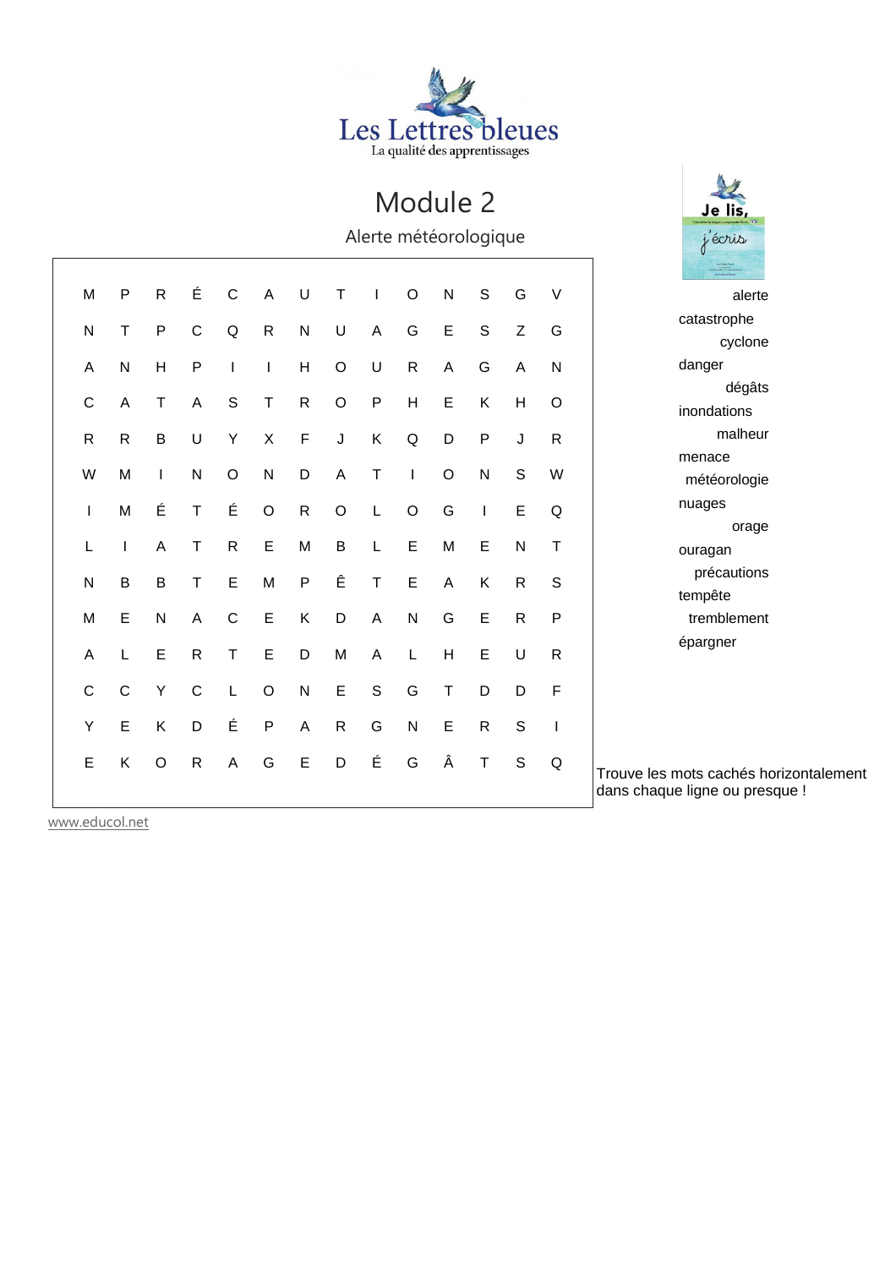

Je lis, j'écris

Alerte météorologique

| M            | P            | $\mathsf{R}$ | É            | $\mathsf{C}$ | A            | U            | т                       | I.           | $\circ$     | $\mathsf{N}$   | ${\mathsf S}$ | G              | V            | alerte                                 |
|--------------|--------------|--------------|--------------|--------------|--------------|--------------|-------------------------|--------------|-------------|----------------|---------------|----------------|--------------|----------------------------------------|
| N            | т            | $\sf P$      | $\mathsf C$  | Q            | $\mathsf{R}$ | ${\sf N}$    | U                       | A            | G           | $\mathsf E$    | $\mathsf S$   | Z              | G            | catastrophe                            |
|              |              |              |              |              |              |              |                         |              |             |                |               |                |              | cyclone                                |
| A            | ${\sf N}$    | H            | $\sf P$      |              | $\mathbf{I}$ | H            | $\mathsf O$             | $\sf U$      | ${\sf R}$   | $\mathsf A$    | G             | $\overline{A}$ | $\mathsf{N}$ | danger                                 |
| C            | Α            | T            | A            | $\mathsf{S}$ | $\mathsf T$  | ${\sf R}$    | $\mathsf O$             | $\mathsf{P}$ | H           | $\mathsf E$    | Κ             | H              | $\circ$      | dégâts                                 |
|              |              |              |              |              |              |              |                         |              |             |                |               |                |              | inondations                            |
| $\mathsf{R}$ | $\mathsf{R}$ | $\sf B$      | $\cup$       | Y            | $\mathsf X$  | $\mathsf F$  | $\sf J$                 | K            | Q           | D              | $\mathsf{P}$  | J              | $\mathsf{R}$ | malheur                                |
|              |              |              |              |              |              |              |                         |              |             |                |               |                |              | menace                                 |
| W            | M            | $\mathbf{I}$ | ${\sf N}$    | $\circ$      | $\mathsf{N}$ | D            | $\overline{\mathsf{A}}$ | $\mathsf T$  |             | $\circ$        | $\mathsf{N}$  | S              | W            | météorologie                           |
|              | M            | É            | $\sf T$      | É            | $\circ$      | $\mathsf{R}$ | $\circ$                 | L            | $\circ$     | G              |               | E              | Q            | nuages                                 |
|              |              |              |              |              |              |              |                         |              |             |                |               |                |              | orage                                  |
| L            |              | A            | Τ            | $\mathsf{R}$ | E            | M            | B                       | L            | E           | M              | E             | $\mathsf{N}$   | Τ            | ouragan                                |
| N            | B            | $\sf B$      | Τ            | E            | M            | $\sf P$      | Ê                       | $\top$       | $\mathsf E$ | $\overline{A}$ | Κ             | $\mathsf{R}$   | S            | précautions                            |
|              |              |              |              |              |              |              |                         |              |             |                |               |                |              | tempête                                |
| M            | Е            | ${\sf N}$    | A            | $\mathsf{C}$ | $\mathsf E$  | Κ            | D                       | A            | ${\sf N}$   | G              | $\mathsf E$   | $\mathsf{R}$   | P            | tremblement                            |
| Α            |              | E            | $\mathsf{R}$ | $\mathsf{T}$ | E            | D            | M                       | A            | L           | H              | E             | U              | ${\sf R}$    | épargner                               |
|              |              |              |              |              |              |              |                         |              |             |                |               |                |              |                                        |
| $\mathsf C$  | $\mathsf{C}$ | Υ            | $\mathsf C$  |              | $\circ$      | $\mathsf{N}$ | E                       | $\mathsf S$  | G           | $\sf T$        | D             | D              | F            |                                        |
| Υ            | E            | Κ            | D            | É            | $\mathsf{P}$ | A            | $\mathsf{R}$            | G            | ${\sf N}$   | $\mathsf E$    | $\mathsf{R}$  | $\mathbf S$    | I            |                                        |
|              |              |              |              |              |              |              |                         |              |             |                |               |                |              |                                        |
| E            | Κ            | $\circ$      | $\mathsf{R}$ | A            | G            | $\mathsf E$  | D                       | É            | G           | Â              | $\mathsf T$   | $\mathsf S$    | Q            | Trouve les mots cachés horizontalement |
|              |              |              |              |              |              |              |                         |              |             |                |               |                |              | dans chaque ligne ou presque !         |
|              |              |              |              |              |              |              |                         |              |             |                |               |                |              |                                        |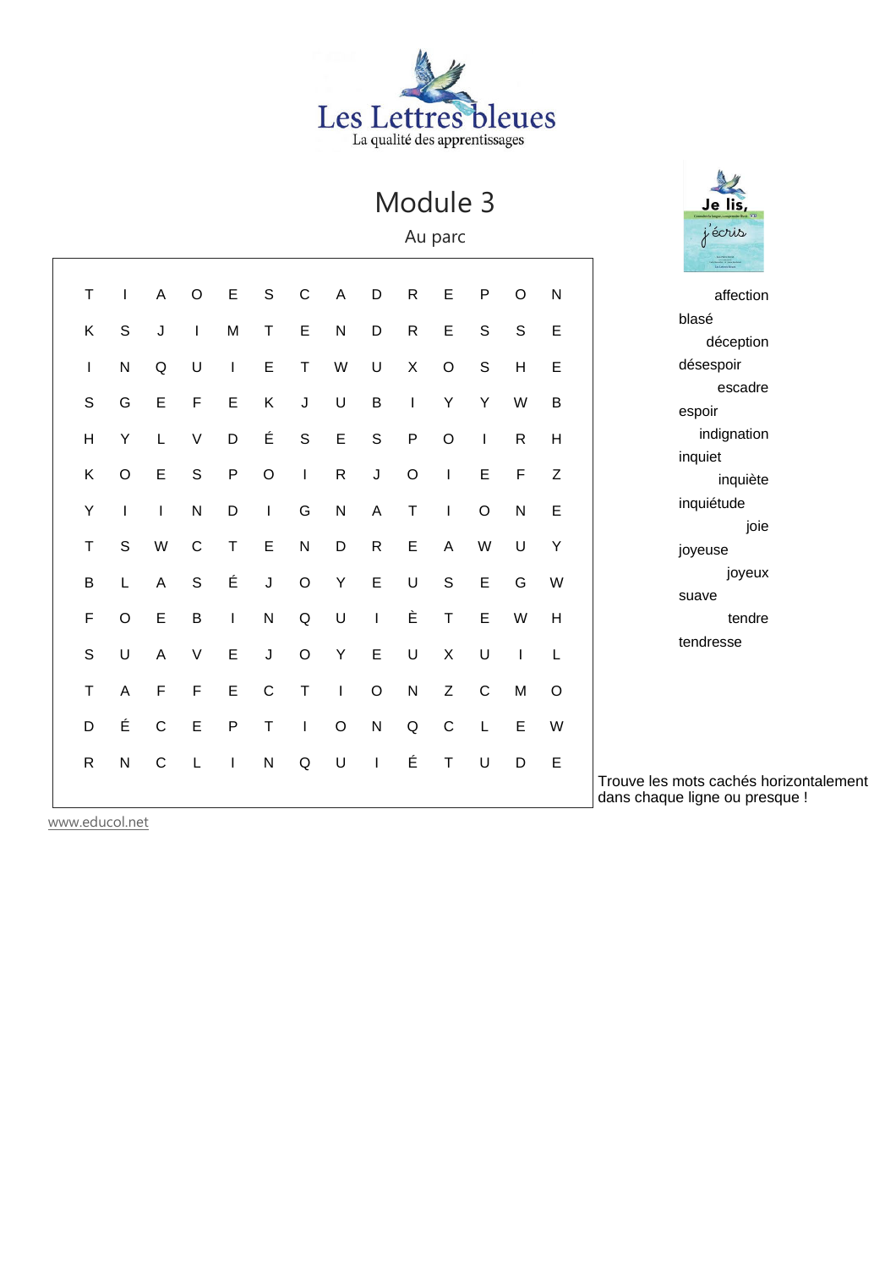

Au parc

| aff                                        | ${\sf N}$ | $\mathsf O$ | $\sf P$     | E            | ${\sf R}$    | D                        | A           | $\mathsf C$ | $\mathbf S$  | E            | $\mathsf O$ | A           | I            | $\sf T$                 |  |
|--------------------------------------------|-----------|-------------|-------------|--------------|--------------|--------------------------|-------------|-------------|--------------|--------------|-------------|-------------|--------------|-------------------------|--|
| blasé<br>déc                               | E         | $\mathsf S$ | S           | E            | ${\sf R}$    | D                        | ${\sf N}$   | E           | $\top$       | М            | T           | J           | $\mathsf S$  | Κ                       |  |
| désespo                                    | E         | Н           | $\mathsf S$ | $\circ$      | Χ            | U                        | W           | $\top$      | E            | T            | U           | $\sf Q$     | $\mathsf{N}$ | I                       |  |
| es<br>espoir                               | B         | W           | Υ           | Υ            | T            | $\mathsf B$              | U           | J           | Κ            | E            | F           | E           | G            | $\mathsf S$             |  |
| indig                                      | H         | ${\sf R}$   | T           | $\circ$      | P            | S                        | E           | $\mathsf S$ | É            | D            | $\vee$      | L           | Υ            | $\overline{\mathsf{H}}$ |  |
| inquiet<br>in                              | Z         | F           | E           | $\mathsf I$  | $\mathsf O$  | $\mathsf J$              | ${\sf R}$   | $\mathsf I$ | $\circ$      | $\sf P$      | $\mathsf S$ | E           | $\circ$      | Κ                       |  |
| inquiétu                                   | Ε         | ${\sf N}$   | $\mathsf O$ | $\mathsf{I}$ | $\mathsf T$  | A                        | ${\sf N}$   | G           | I            | D            | ${\sf N}$   | T           | I            | Υ                       |  |
| joyeuse                                    | Υ         | U           | W           | A            | E            | ${\sf R}$                | D           | ${\sf N}$   | E            | $\top$       | $\mathsf C$ | W           | S            | $\top$                  |  |
| j<br>suave                                 | W         | G           | E           | $\mathsf S$  | U            | E                        | Υ           | $\mathsf O$ | J            | É            | S           | A           | L            | $\sf B$                 |  |
| 1                                          | H         | W           | E           | $\top$       | È            | I                        | U           | $\mathsf Q$ | $\mathsf{N}$ | T            | B           | E           | $\circ$      | $\mathsf F$             |  |
| tendress                                   | L         | $\mathsf I$ | U           | $\sf X$      | U            | E                        | Υ           | $\mathsf O$ | J            | E            | $\vee$      | A           | U            | $\mathbf S$             |  |
|                                            | $\circ$   | M           | $\mathsf C$ | $\mathsf Z$  | $\mathsf{N}$ | $\circ$                  | T           | T           | $\mathsf C$  | E            | F           | F           | A            | T                       |  |
|                                            | W         | E           | L           | $\mathsf C$  | Q            | $\mathsf{N}$             | $\mathsf O$ | L           | $\top$       | P            | E           | $\mathsf C$ | É            | D                       |  |
| Trouve les mots cac<br>dans chaque ligne o | E         | D           | U           | $\top$       | É            | $\overline{\phantom{a}}$ | U           | $\sf Q$     | $\mathsf{N}$ | $\mathbf{I}$ | L           | $\mathsf C$ | $\mathsf{N}$ | ${\sf R}$               |  |

www.educol.net



ection eption pir scadre nation quiète de joie joyeux tendre

se

thés horizontalement ou presque !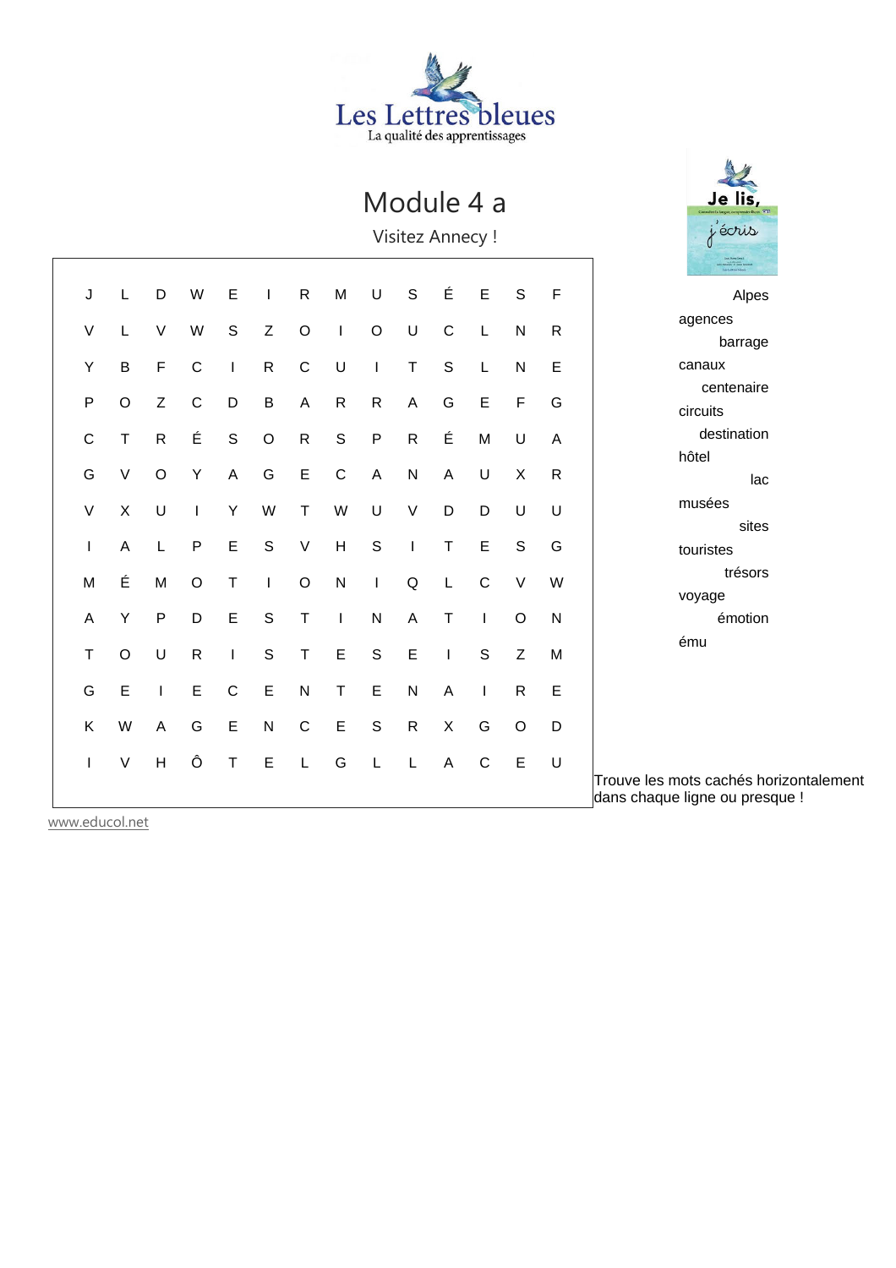

### Module 4 a

Visitez Annecy !

|                                         | $\mathsf F$ | $\mathsf{S}$ | $\mathsf E$  | É                                                                                                                                                                                                                                                                                                                                                                                | $\mathbf S$                                                                                                                                                                                                                                                                                                                                                                      | U           | M                         | ${\sf R}$    | I           | E           | W           | D              | L       | J                        |  |
|-----------------------------------------|-------------|--------------|--------------|----------------------------------------------------------------------------------------------------------------------------------------------------------------------------------------------------------------------------------------------------------------------------------------------------------------------------------------------------------------------------------|----------------------------------------------------------------------------------------------------------------------------------------------------------------------------------------------------------------------------------------------------------------------------------------------------------------------------------------------------------------------------------|-------------|---------------------------|--------------|-------------|-------------|-------------|----------------|---------|--------------------------|--|
| agend                                   | $\mathsf R$ | ${\sf N}$    | L            | $\mathsf C$                                                                                                                                                                                                                                                                                                                                                                      | U                                                                                                                                                                                                                                                                                                                                                                                | $\circ$     | I                         | $\circ$      | Z           | $\mathbf S$ | W           | V              | L       | V                        |  |
| canau                                   | E           | ${\sf N}$    | L            | $\mathbb S$                                                                                                                                                                                                                                                                                                                                                                      | $\sf T$                                                                                                                                                                                                                                                                                                                                                                          | $\mathsf I$ | U                         | $\mathsf C$  | ${\sf R}$   | I           | $\mathsf C$ | F              | B       | Υ                        |  |
| ce<br>circuit                           | G           | F            | E            | G                                                                                                                                                                                                                                                                                                                                                                                | A                                                                                                                                                                                                                                                                                                                                                                                | ${\sf R}$   | ${\sf R}$                 | A            | $\sf B$     | D           | C           | Ζ              | O       | $\mathsf{P}$             |  |
| de                                      | A           | U            | M            | É                                                                                                                                                                                                                                                                                                                                                                                | ${\sf R}$                                                                                                                                                                                                                                                                                                                                                                        | ${\sf P}$   | $\mathsf S$               | ${\sf R}$    | $\mathsf O$ | $\mathsf S$ | É           | $\mathsf R$    | $\sf T$ | $\mathsf C$              |  |
| hôtel                                   | ${\sf R}$   | X            | U            | A                                                                                                                                                                                                                                                                                                                                                                                | $\mathsf{N}$                                                                                                                                                                                                                                                                                                                                                                     | A           | $\mathsf C$               | $\mathsf E$  | G           | A           | Υ           | O              | V       | G                        |  |
| musé                                    | U           | U            | D            | D                                                                                                                                                                                                                                                                                                                                                                                | $\mathsf V$                                                                                                                                                                                                                                                                                                                                                                      | U           | W                         | $\sf T$      | W           | Υ           | $\mathsf I$ | U              | $\sf X$ | $\vee$                   |  |
| tourist                                 | G           | S            | E            | T                                                                                                                                                                                                                                                                                                                                                                                | $\begin{array}{c} \rule{0pt}{2.5ex} \rule{0pt}{2.5ex} \rule{0pt}{2.5ex} \rule{0pt}{2.5ex} \rule{0pt}{2.5ex} \rule{0pt}{2.5ex} \rule{0pt}{2.5ex} \rule{0pt}{2.5ex} \rule{0pt}{2.5ex} \rule{0pt}{2.5ex} \rule{0pt}{2.5ex} \rule{0pt}{2.5ex} \rule{0pt}{2.5ex} \rule{0pt}{2.5ex} \rule{0pt}{2.5ex} \rule{0pt}{2.5ex} \rule{0pt}{2.5ex} \rule{0pt}{2.5ex} \rule{0pt}{2.5ex} \rule{0$ | $\mathbf S$ | $\boldsymbol{\mathsf{H}}$ | $\sf V$      | $\mathsf S$ | E           | P           | L              | A       | $\mathsf I$              |  |
| voyag                                   | W           | $\vee$       | $\mathsf C$  | L                                                                                                                                                                                                                                                                                                                                                                                | $\sf Q$                                                                                                                                                                                                                                                                                                                                                                          | I           | ${\sf N}$                 | $\mathsf O$  | I           | $\top$      | O           | M              | É       | M                        |  |
|                                         | ${\sf N}$   | $\mathsf O$  | $\mathbf{I}$ | $\top$                                                                                                                                                                                                                                                                                                                                                                           | A                                                                                                                                                                                                                                                                                                                                                                                | ${\sf N}$   | I                         | $\top$       | $\mathsf S$ | E           | D           | P              | Υ       | A                        |  |
| ému                                     | M           | Z            | $\mathbf S$  | $\begin{array}{c} \rule{0pt}{2.5ex} \rule{0pt}{2.5ex} \rule{0pt}{2.5ex} \rule{0pt}{2.5ex} \rule{0pt}{2.5ex} \rule{0pt}{2.5ex} \rule{0pt}{2.5ex} \rule{0pt}{2.5ex} \rule{0pt}{2.5ex} \rule{0pt}{2.5ex} \rule{0pt}{2.5ex} \rule{0pt}{2.5ex} \rule{0pt}{2.5ex} \rule{0pt}{2.5ex} \rule{0pt}{2.5ex} \rule{0pt}{2.5ex} \rule{0pt}{2.5ex} \rule{0pt}{2.5ex} \rule{0pt}{2.5ex} \rule{0$ | E                                                                                                                                                                                                                                                                                                                                                                                | $\mathsf S$ | E                         | T            | $\mathsf S$ | I           | ${\sf R}$   | U              | $\circ$ | $\top$                   |  |
|                                         | E           | $\mathsf{R}$ | $\mathsf{I}$ | A                                                                                                                                                                                                                                                                                                                                                                                | $\mathsf{N}$                                                                                                                                                                                                                                                                                                                                                                     | E           | $\top$                    | ${\sf N}$    | E           | $\mathbf C$ | E           | I              | E       | G                        |  |
|                                         | D           | $\circ$      | G            | X                                                                                                                                                                                                                                                                                                                                                                                | ${\sf R}$                                                                                                                                                                                                                                                                                                                                                                        | $\mathbb S$ | $\mathsf E$               | $\mathsf{C}$ | N           | E           | G           | A              | W       | Κ                        |  |
| Trouve les mots ca<br>dans chaque ligne | U           | E            | $\mathsf C$  | $\overline{\mathsf{A}}$                                                                                                                                                                                                                                                                                                                                                          | L                                                                                                                                                                                                                                                                                                                                                                                | L           | G                         | $\mathsf L$  | E           | T           | Ô           | $\overline{H}$ | $\vee$  | $\overline{\phantom{a}}$ |  |



Alpes ces barrage canaux entenaire ts estination lac es sites ites trésors voyage émotion

www.educol.net

achés horizontalement ou presque !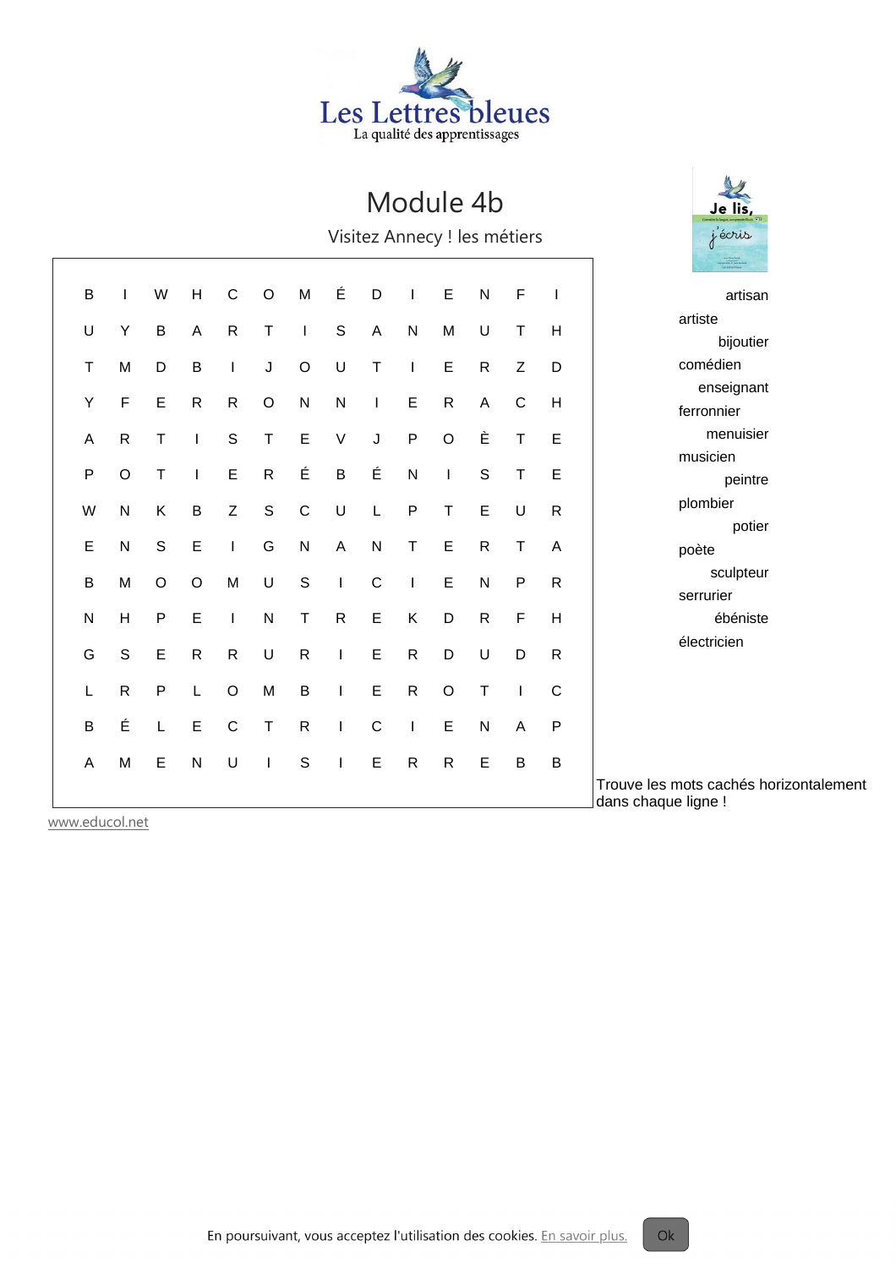

### Module 4b

Visitez Annecy ! les métiers

|              |              |             |              |              |              |               |               |              |              |              |              |              |              | Le Lemachine                                                  |
|--------------|--------------|-------------|--------------|--------------|--------------|---------------|---------------|--------------|--------------|--------------|--------------|--------------|--------------|---------------------------------------------------------------|
| B            |              | W           | H            | $\mathsf C$  | $\circ$      | M             | É             | D            | T            | $\mathsf E$  | ${\sf N}$    | F            | $\mathbf{I}$ | artisan                                                       |
| U            | Υ            | B           | A            | $\mathsf{R}$ | T            | $\mathbf{I}$  | ${\mathsf S}$ | A            | $\mathsf{N}$ | M            | U            | т            | H            | artiste                                                       |
|              |              |             |              |              |              |               |               |              |              |              |              |              |              | bijoutier                                                     |
| Τ            | M            | D           | $\mathsf B$  | $\mathbf{I}$ | J            | $\mathsf O$   | U             | $\mathsf T$  | $\mathbf{I}$ | $\mathsf E$  | $\mathsf{R}$ | Z            | D            | comédien                                                      |
| Υ            | F            | E           | $\mathsf{R}$ | $\mathsf{R}$ | $\circ$      | ${\sf N}$     | ${\sf N}$     |              | E            | $\mathsf{R}$ | A            | $\mathsf{C}$ | H            | enseignant                                                    |
|              |              |             |              |              |              |               |               | $\mathbf{I}$ |              |              |              |              |              | ferronnier                                                    |
| A            | $\mathsf{R}$ | T           |              | $\mathsf S$  | $\mathsf T$  | E             | $\sf V$       | J            | $\mathsf{P}$ | $\circ$      | È            | T            | E            | menuisier                                                     |
|              |              |             |              |              |              |               |               |              |              |              |              |              |              | musicien                                                      |
| $\mathsf{P}$ | $\circ$      | $\mathsf T$ | $\mathbf{I}$ | $\mathsf E$  | $\mathsf{R}$ | É             | $\sf B$       | É            | ${\sf N}$    | $\mathbf{I}$ | $\mathsf S$  | т            | E            | peintre                                                       |
| W            | ${\sf N}$    | Κ           | $\sf B$      | Z            | $\mathsf S$  | $\mathsf C$   | U             | L            | $\sf P$      | $\top$       | $\mathsf E$  | U            | $\mathsf R$  | plombier                                                      |
|              |              |             |              |              |              |               |               |              |              |              |              |              |              | potier                                                        |
| E            | ${\sf N}$    | $\mathbf S$ | $\mathsf E$  | $\mathbf{I}$ | G            | ${\sf N}$     | $\mathsf{A}$  | N            | т            | $\mathsf E$  | ${\sf R}$    | т            | A            | poète                                                         |
| $\sf B$      | M            | O           | $\circ$      | M            | U            | ${\mathbb S}$ | $\mathbf{I}$  | $\mathsf C$  | L            | $\mathsf E$  | $\mathsf{N}$ | $\mathsf{P}$ | $\mathsf R$  | sculpteur                                                     |
|              |              |             |              |              |              |               |               |              |              |              |              |              |              | serrurier                                                     |
| N            | H            | P           | E            | $\mathbf{I}$ | N            | Τ             | $\mathsf{R}$  | $\mathsf E$  | K            | D            | ${\sf R}$    | $\mathsf{F}$ | H            | ébéniste                                                      |
|              |              |             |              |              |              |               |               |              |              |              |              |              |              | électricien                                                   |
| G            | $\mathsf S$  | Ε           | R            | $\mathsf{R}$ | U            | R             | J.            | Ε            | R            | D            | U            | D            | $\mathsf{R}$ |                                                               |
| L            | ${\sf R}$    | $\sf P$     | L            | $\circ$      | M            | $\sf B$       | T             | E            | $\mathsf{R}$ | $\circ$      | T            |              | $\mathsf{C}$ |                                                               |
|              |              |             |              |              |              |               |               |              |              |              |              |              |              |                                                               |
| B            | É            | L           | $\mathsf E$  | $\mathsf C$  | $\mathsf T$  | $\mathsf{R}$  | L             | $\mathsf{C}$ | I            | E            | ${\sf N}$    | A            | P            |                                                               |
| A            | M            | E           | $\mathsf{N}$ | U            | L            | ${\mathsf S}$ | T             | E            | $\mathsf{R}$ | ${\sf R}$    | E            | $\sf B$      | $\sf B$      |                                                               |
|              |              |             |              |              |              |               |               |              |              |              |              |              |              | Trouve les mots cachés horizontalement<br>dans chaque ligne ! |

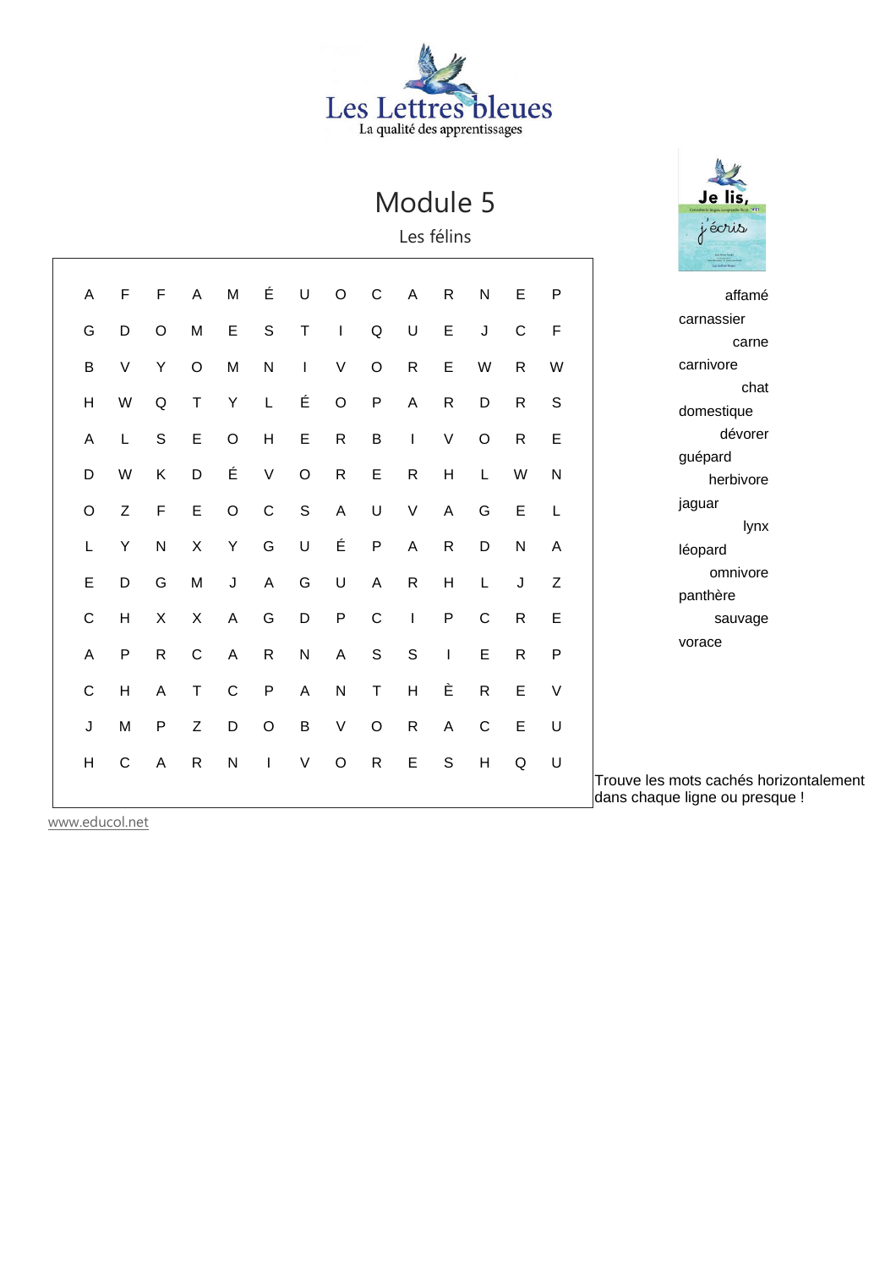# Les Lettres bleues

Module 5

Les félins

# Je lis,

| Α | F            | F            | A            | M              | É            | U           | $\circ$      | $\mathsf{C}$ | A                         | $\mathsf{R}$   | N            | Е            | P            | affamé                                                                   |
|---|--------------|--------------|--------------|----------------|--------------|-------------|--------------|--------------|---------------------------|----------------|--------------|--------------|--------------|--------------------------------------------------------------------------|
| G | D            | O            | M            | E              | $\mathsf S$  | T           | $\mathbf{I}$ | Q            | U                         | $\mathsf E$    | J            | $\mathsf{C}$ | $\mathsf F$  | carnassier                                                               |
|   |              |              |              |                |              |             |              |              |                           |                |              |              |              | carne                                                                    |
| B | $\vee$       | Υ            | $\circ$      | M              | ${\sf N}$    |             | V            | $\mathsf O$  | $\mathsf{R}$              | $\mathsf E$    | W            | $\mathsf{R}$ | W            | carnivore                                                                |
| H | W            | Q            | Т            | Υ              | L            | É           | $\circ$      | $\mathsf{P}$ | A                         | $\mathsf{R}$   | D            | $\mathsf{R}$ | $\mathbb S$  | chat                                                                     |
|   |              |              |              |                |              |             |              |              |                           |                |              |              |              | domestique                                                               |
| Α |              | $\mathsf S$  | $\mathsf E$  | $\circ$        | H            | E           | $\mathsf{R}$ | $\sf B$      | T                         | $\vee$         | $\circ$      | $\mathsf{R}$ | E            | dévorer                                                                  |
|   |              |              |              | É              |              |             |              |              |                           |                |              |              |              | guépard                                                                  |
| D | W            | K            | D            |                | $\sf V$      | $\circ$     | $\mathsf{R}$ | $\mathsf E$  | $\mathsf{R}$              | H              | L            | W            | N            | herbivore                                                                |
| O | Z            | $\mathsf F$  | $\mathsf E$  | $\circ$        | $\mathbf C$  | $\mathsf S$ | $\mathsf{A}$ | U            | $\vee$                    | $\overline{A}$ | G            | $\mathsf E$  | L            | jaguar                                                                   |
|   |              |              |              |                |              |             |              |              |                           |                |              |              |              | lynx                                                                     |
| L | Y            | ${\sf N}$    | X            | Υ              | G            | U           | É            | ${\sf P}$    | $\boldsymbol{\mathsf{A}}$ | $\mathsf{R}$   | D            | ${\sf N}$    | A            | léopard                                                                  |
| E | D            | G            | M            | J              | $\mathsf{A}$ | G           | U            | $\mathsf{A}$ | $\mathsf{R}$              | H              | L            | J            | Z            | omnivore                                                                 |
|   |              |              |              |                |              |             |              |              |                           |                |              |              |              | panthère                                                                 |
| C | H            | X            | X            | A              | G            | D           | $\mathsf{P}$ | $\mathsf{C}$ |                           | $\mathsf{P}$   | $\mathsf{C}$ | $\mathsf{R}$ | E            | sauvage                                                                  |
| A | $\sf P$      | $\mathsf{R}$ | $\mathsf C$  | $\overline{A}$ | $\mathsf{R}$ | ${\sf N}$   | A            | S            | S                         | $\mathbf{I}$   | E            | ${\sf R}$    | $\mathsf{P}$ | vorace                                                                   |
|   |              |              |              |                |              |             |              |              |                           |                |              |              |              |                                                                          |
| C | H            | A            | Τ            | $\mathsf{C}$   | $\mathsf{P}$ | A           | $\mathsf{N}$ | $\mathsf T$  | H                         | È              | $\mathsf{R}$ | E            | V            |                                                                          |
|   |              |              | Z            |                |              | $\sf B$     | $\sf V$      | $\circ$      | $\mathsf{R}$              | $\overline{A}$ | $\mathsf{C}$ | E            | U            |                                                                          |
| J | M            | P            |              | D              | $\circ$      |             |              |              |                           |                |              |              |              |                                                                          |
| н | $\mathsf{C}$ | A            | $\mathsf{R}$ | $\mathsf{N}$   |              | $\vee$      | $\circ$      | $\mathsf{R}$ | E                         | S              | H            | Q            | U            |                                                                          |
|   |              |              |              |                |              |             |              |              |                           |                |              |              |              | Trouve les mots cachés horizontalement<br>dans chaque ligne ou presque ! |
|   |              |              |              |                |              |             |              |              |                           |                |              |              |              |                                                                          |

www.educol.net

 $\overline{\phantom{a}}$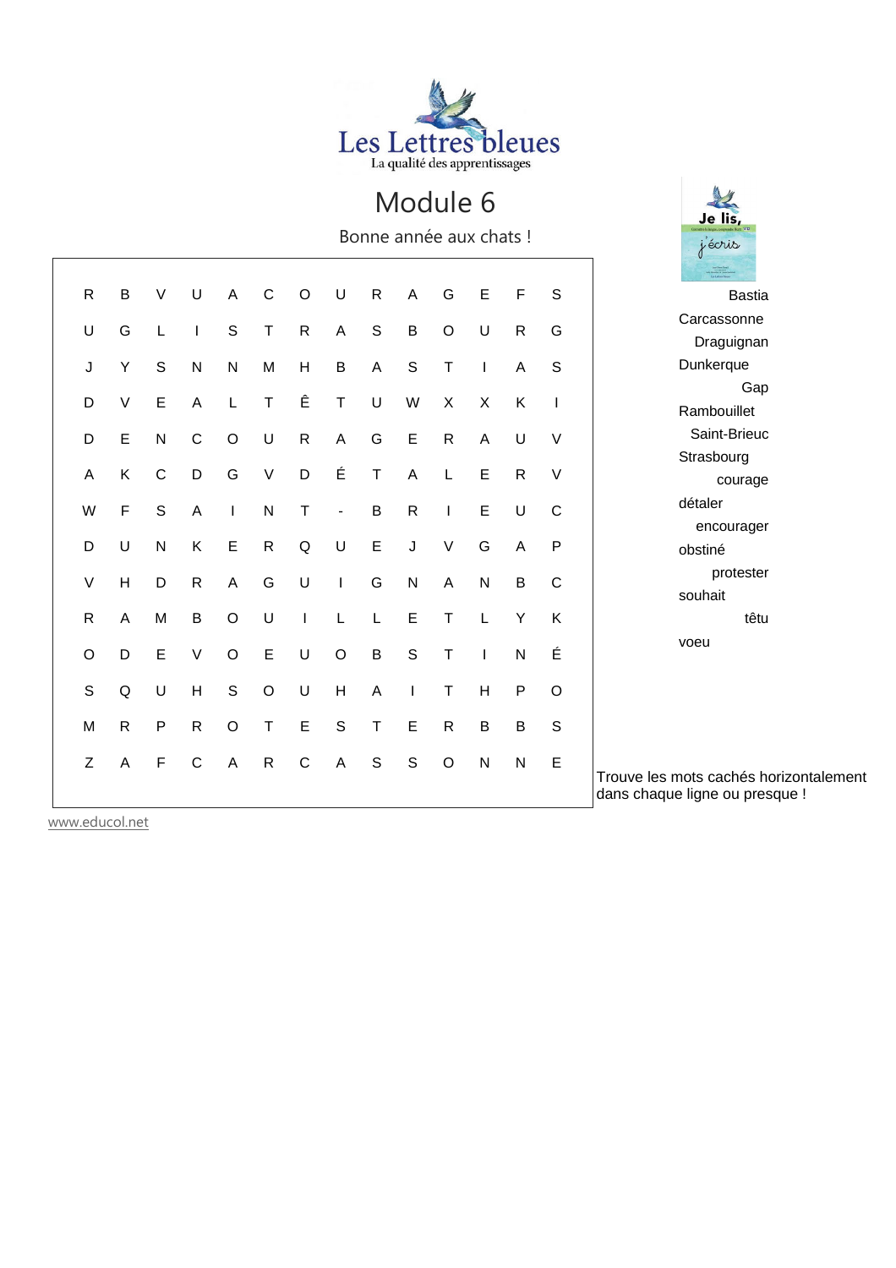

Bonne année aux chats !

Je lis j'écris

| $\mathsf{R}$ | B            | V            | U            | A            | C            | O            | U                            | $\mathsf{R}$  | A              | G                         | E            | F            | S            | <b>Bastia</b>                                                            |
|--------------|--------------|--------------|--------------|--------------|--------------|--------------|------------------------------|---------------|----------------|---------------------------|--------------|--------------|--------------|--------------------------------------------------------------------------|
| U            | G            | L            |              | $\mathsf S$  | $\top$       | $\mathsf{R}$ | $\overline{A}$               | S             | $\sf B$        | $\circ$                   | U            | $\mathsf{R}$ | G            | Carcassonne                                                              |
|              |              |              |              |              |              |              |                              |               |                |                           |              |              |              | Draguignan                                                               |
| J            | Υ            | $\mathsf S$  | ${\sf N}$    | ${\sf N}$    | M            | H            | $\sf B$                      | A             | $\mathsf S$    | $\top$                    |              | A            | S            | Dunkerque                                                                |
|              | V            | E            |              |              | T            | Ê            | $\mathsf T$                  |               |                | $\boldsymbol{\mathsf{X}}$ |              |              |              | Gap                                                                      |
| D            |              |              | A            | L            |              |              |                              | U             | W              |                           | X            | K            | $\mathbf{I}$ | Rambouillet                                                              |
| D            | E            | ${\sf N}$    | $\mathbf C$  | $\circ$      | U            | $\mathsf{R}$ | $\overline{\mathsf{A}}$      | G             | $\mathsf E$    | $\mathsf{R}$              | A            | U            | $\vee$       | Saint-Brieuc                                                             |
|              |              |              |              |              |              |              |                              |               |                |                           |              |              |              | Strasbourg                                                               |
| A            | K            | $\mathsf{C}$ | D            | G            | $\vee$       | D            | É                            | $\mathsf T$   | $\overline{A}$ | L                         | E            | $\mathsf{R}$ | $\vee$       | courage                                                                  |
| W            | F            | $\mathsf S$  | A            | $\mathbf{I}$ | ${\sf N}$    | T            | $\qquad \qquad \blacksquare$ | $\sf B$       | $\mathsf{R}$   | T                         | E            | U            | $\mathsf{C}$ | détaler                                                                  |
|              |              |              |              |              |              |              |                              |               |                |                           |              |              |              | encourager                                                               |
| D            | U            | ${\sf N}$    | K            | E            | $\mathsf{R}$ | $\mathsf Q$  | U                            | $\mathsf E$   | J              | $\vee$                    | G            | A            | P            | obstiné                                                                  |
| V            | H            | D            | $\mathsf{R}$ | A            | G            | U            | $\mathbf{I}$                 | G             | N              | $\mathsf{A}$              | ${\sf N}$    | B            | $\mathsf{C}$ | protester                                                                |
|              |              |              |              |              |              |              |                              |               |                |                           |              |              |              | souhait                                                                  |
| $\mathsf{R}$ | A            | M            | B            | $\circ$      | U            | T            | L                            | L             | E              | Τ                         | L            | Y            | Κ            | têtu                                                                     |
| $\circ$      | D            | E            | $\vee$       | $\circ$      | E            | U            | $\circ$                      | B             | S              | $\mathsf T$               |              | $\mathsf{N}$ | É            | voeu                                                                     |
|              |              |              |              |              |              |              |                              |               |                |                           |              |              |              |                                                                          |
| $\mathsf S$  | Q            | U            | H            | $\mathsf S$  | $\circ$      | U            | H                            | A             | $\mathsf{I}$   | $\mathsf T$               | H            | $\mathsf{P}$ | $\circ$      |                                                                          |
| M            | $\mathsf{R}$ | ${\sf P}$    | $\mathsf{R}$ | $\circ$      | $\top$       | $\mathsf E$  | $\mathbf S$                  | $\mathsf T$   | E              | $\mathsf{R}$              | B            | B            | S            |                                                                          |
|              |              |              |              |              |              |              |                              |               |                |                           |              |              |              |                                                                          |
| Z            | A            | $\mathsf F$  | $\mathsf C$  | A            | $\mathsf{R}$ | $\mathsf C$  | $\mathsf{A}$                 | ${\mathbb S}$ | $\mathbb S$    | $\circ$                   | $\mathsf{N}$ | ${\sf N}$    | E            |                                                                          |
|              |              |              |              |              |              |              |                              |               |                |                           |              |              |              | Trouve les mots cachés horizontalement<br>dans chaque ligne ou presque ! |
|              |              |              |              |              |              |              |                              |               |                |                           |              |              |              |                                                                          |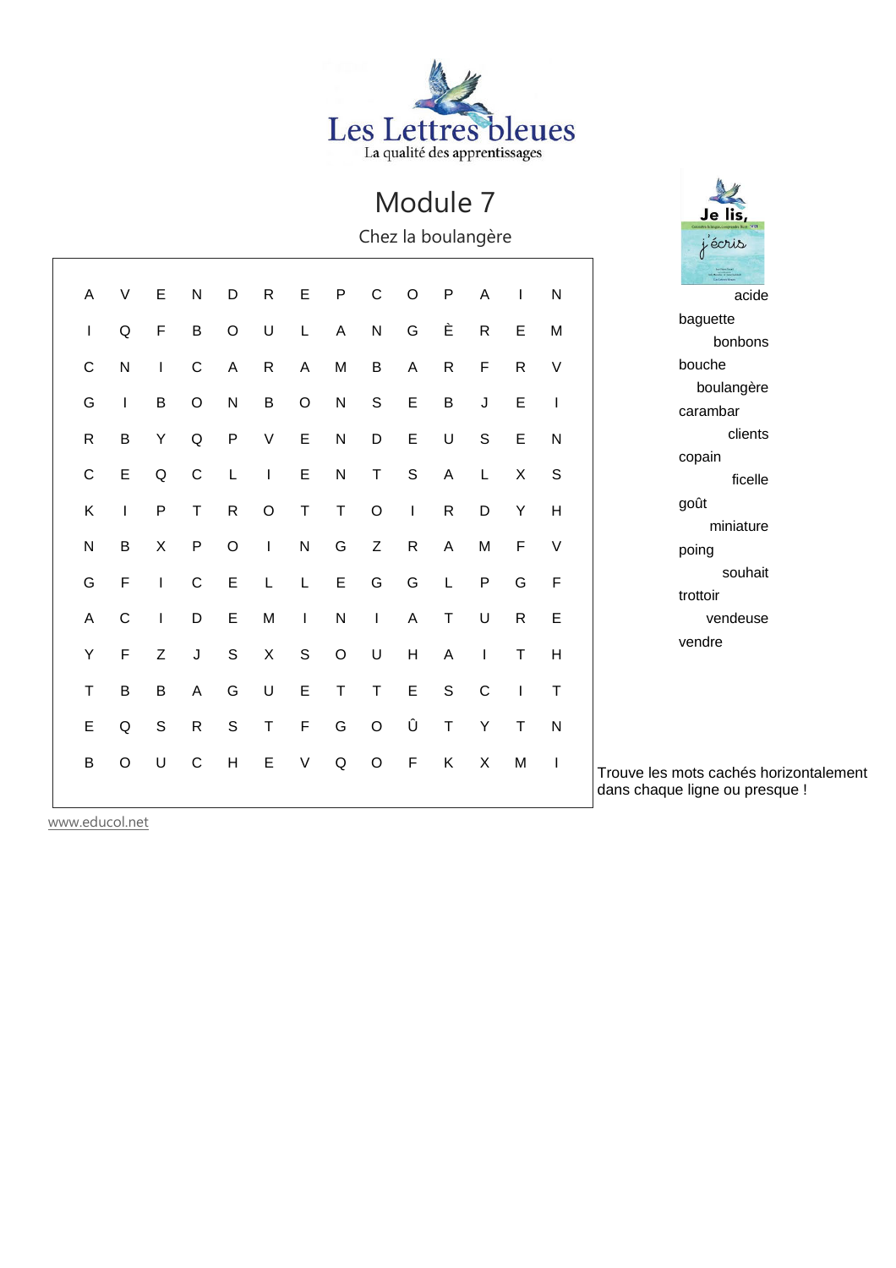

Je lis,

j'écris

Chez la boulangère

| Α            | $\vee$       | E            | ${\sf N}$    | D             | $\mathsf{R}$ | E            | $\mathsf{P}$   | $\mathsf C$      | $\circ$      | $\mathsf{P}$ | $\overline{A}$            |              | $\mathsf{N}$ | acide                                                                    |
|--------------|--------------|--------------|--------------|---------------|--------------|--------------|----------------|------------------|--------------|--------------|---------------------------|--------------|--------------|--------------------------------------------------------------------------|
| I            | Q            | $\mathsf F$  | $\sf B$      | $\circ$       | U            | L            | $\overline{A}$ | ${\sf N}$        | G            | È            | $\mathsf{R}$              | E            | M            | baguette                                                                 |
|              |              |              |              |               |              |              |                |                  |              |              |                           |              |              | bonbons                                                                  |
| C            | ${\sf N}$    | $\mathsf{I}$ | C            | A             | $\mathsf{R}$ | A            | M              | $\sf B$          | A            | ${\sf R}$    | $\mathsf F$               | $\mathsf{R}$ | $\vee$       | bouche                                                                   |
| G            |              | B            | $\circ$      | N             | B            | $\circ$      | $\mathsf{N}$   | S                | E            | $\sf B$      | J                         | E            | T            | boulangère                                                               |
|              |              |              |              |               |              |              |                |                  |              |              |                           |              |              | carambar                                                                 |
| ${\sf R}$    | B            | Υ            | Q            | $\sf P$       | $\vee$       | $\mathsf E$  | ${\sf N}$      | D                | $\mathsf E$  | $\sf U$      | $\mathsf S$               | $\mathsf E$  | ${\sf N}$    | clients                                                                  |
| $\mathsf C$  | E            | Q            | $\mathsf{C}$ |               |              | E            | $\mathsf{N}$   | $\mathsf T$      | S            | A            | L                         | X            | S            | copain                                                                   |
|              |              |              |              |               |              |              |                |                  |              |              |                           |              |              | ficelle                                                                  |
| Κ            |              | $\mathsf{P}$ | Τ            | ${\sf R}$     | $\circ$      | Τ            | $\sf T$        | $\circ$          | J.           | ${\sf R}$    | D                         | Υ            | H            | goût                                                                     |
|              |              |              |              |               |              |              |                |                  |              |              |                           |              |              | miniature                                                                |
| $\mathsf{N}$ | B            | X            | $\mathsf{P}$ | $\circ$       | I.           | ${\sf N}$    | G              | $\boldsymbol{Z}$ | $\mathsf{R}$ | A            | M                         | F            | $\vee$       | poing                                                                    |
| G            | F            | $\mathbf{I}$ | C            | E             |              | L            | $\mathsf E$    | G                | G            | L            | P                         | G            | F            | souhait                                                                  |
|              |              |              |              |               |              |              |                |                  |              |              |                           |              |              | trottoir                                                                 |
| Α            | $\mathsf{C}$ | <b>I</b>     | D            | E             | M            | $\mathbf{I}$ | ${\sf N}$      | $\mathbf{I}$     | A            | T            | U                         | $\mathsf{R}$ | E            | vendeuse                                                                 |
| Υ            | $\mathsf{F}$ | Z            | J            | $\mathsf S$   | X            | $\mathsf S$  | $\circ$        | U                | Н            | A            |                           | т            | H            | vendre                                                                   |
|              |              |              |              |               |              |              |                |                  |              |              |                           |              |              |                                                                          |
| Τ            | B            | B            | A            | G             | U            | E            | T              | Τ                | Ε            | $\mathbb S$  | $\mathsf{C}$              |              | Τ            |                                                                          |
| E            | Q            | $\mathbb S$  | $\mathsf{R}$ | ${\mathbb S}$ | T            | $\mathsf F$  | G              | $\circ$          | Û            | $\mathsf T$  | Υ                         | т            | $\mathsf{N}$ |                                                                          |
|              |              |              |              |               |              |              |                |                  |              |              |                           |              |              |                                                                          |
| $\sf B$      | $\circ$      | U            | $\mathsf C$  | H             | $\mathsf E$  | $\mathsf V$  | $\mathsf Q$    | $\circ$          | $\mathsf F$  | K            | $\boldsymbol{\mathsf{X}}$ | M            | $\mathbf{I}$ | Trouve les mots cachés horizontalement<br>dans chaque ligne ou presque ! |
|              |              |              |              |               |              |              |                |                  |              |              |                           |              |              |                                                                          |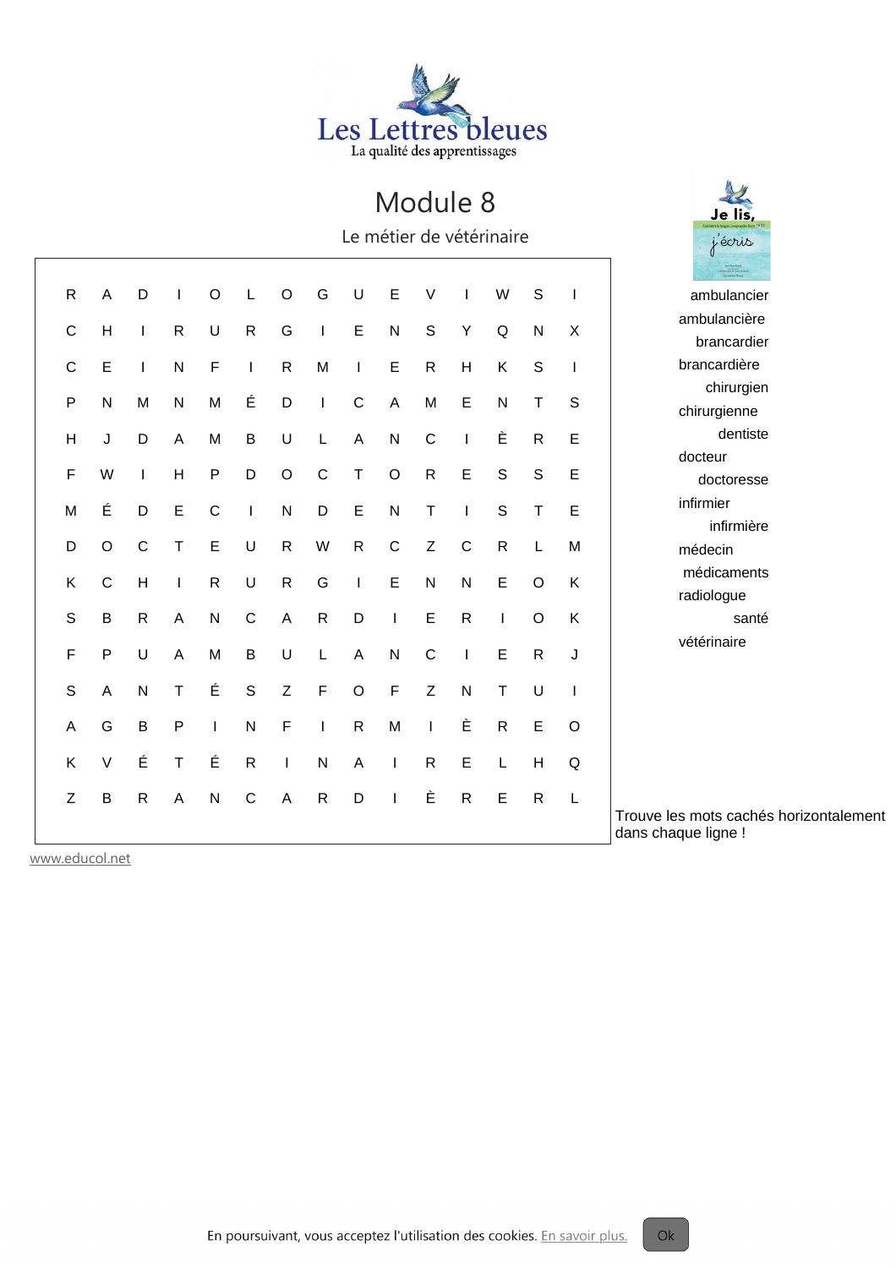

Le métier de vétérinaire

| R           | Α           | D            |              | O            |              | O            | G            | U              | Е            | V            |              | W            | S            |             | ambulancier                                                   |
|-------------|-------------|--------------|--------------|--------------|--------------|--------------|--------------|----------------|--------------|--------------|--------------|--------------|--------------|-------------|---------------------------------------------------------------|
| $\mathsf C$ | H           | T            | $\mathsf{R}$ | U            | $\mathsf{R}$ | G            | $\mathbf{I}$ | $\mathsf E$    | ${\sf N}$    | S            | Y            | Q            | ${\sf N}$    | $\times$    | ambulancière                                                  |
|             |             |              |              |              |              |              |              |                |              |              |              |              |              |             | brancardier                                                   |
| $\mathsf C$ | E           | I.           | N            | F            | $\mathbf{I}$ | ${\sf R}$    | M            | $\mathbf{I}$   | E            | $\mathsf{R}$ | H            | K            | $\mathsf{S}$ |             | brancardière                                                  |
| $\sf P$     | ${\sf N}$   | M            | ${\sf N}$    | M            | É            | $\mathsf D$  | $\mathbf{I}$ | $\mathbf C$    | A            | M            | E            | ${\sf N}$    | $\top$       | S           | chirurgien                                                    |
|             |             |              |              |              |              |              |              |                |              |              |              |              |              |             | chirurgienne                                                  |
| Н           | J           | D            | A            | M            | $\sf B$      | U            | L            | A              | ${\sf N}$    | $\mathsf{C}$ | $\mathsf{I}$ | È            | ${\sf R}$    | $\mathsf E$ | dentiste                                                      |
| $\mathsf F$ | W           |              | H            | $\mathsf{P}$ | D            | $\circ$      | $\mathbf C$  | $\mathsf T$    | $\circ$      | $\mathsf{R}$ | E            | $\mathsf{S}$ | $\mathsf{S}$ | E           | docteur<br>doctoresse                                         |
|             |             |              |              |              |              |              |              |                |              |              |              |              |              |             | infirmier                                                     |
| M           | É           | D            | E            | $\mathsf{C}$ | $\mathbf{I}$ | ${\sf N}$    | D            | Е              | ${\sf N}$    | т            |              | $\mathsf S$  | $\top$       | $\mathsf E$ | infirmière                                                    |
| D           | $\circ$     | $\mathsf{C}$ | Т            | E            | U            | $\mathsf{R}$ | W            | $\mathsf{R}$   | $\mathbf C$  | Z            | $\mathbf C$  | ${\sf R}$    | L            | M           | médecin                                                       |
| K           | $\mathbf C$ | H            |              | $\mathsf{R}$ | U            | ${\sf R}$    | G            |                | E            | ${\sf N}$    | N            | E            | $\circ$      | Κ           | médicaments                                                   |
|             |             |              |              |              |              |              |              | $\mathbf{I}$   |              |              |              |              |              |             | radiologue                                                    |
| S           | $\sf B$     | $\mathsf{R}$ | A            | ${\sf N}$    | $\mathsf C$  | $\mathsf A$  | $\mathsf{R}$ | D              |              | E            | $\mathsf{R}$ |              | $\circ$      | K           | santé                                                         |
| $\mathsf F$ | ${\sf P}$   | U            | A            | M            | $\sf B$      | U            | L            | $\overline{A}$ | $\mathsf{N}$ | $\mathsf{C}$ | $\mathbf{I}$ | E            | $\mathsf{R}$ | J           | vétérinaire                                                   |
| $\mathbf S$ | A           | $\mathsf{N}$ | т            | É            | $\mathbf S$  | Z            | $\mathsf F$  | $\circ$        | $\mathsf F$  | Z            | ${\sf N}$    | т            | U            |             |                                                               |
| A           | G           | B            | P            | $\mathbf{I}$ | N            | $\mathsf F$  | $\mathbf{I}$ | $\mathsf{R}$   | M            |              | È            | $\mathsf{R}$ | $\mathsf E$  | $\circ$     |                                                               |
| K           | $\vee$      | É            | т            | É            | $\mathsf{R}$ | $\mathbf{I}$ | ${\sf N}$    | A              | $\mathbf{I}$ | $\mathsf{R}$ | E            | L            | H            | Q           |                                                               |
| Z           | B           | $\mathsf{R}$ | Α            | ${\sf N}$    | $\mathsf C$  | A            | $\mathsf{R}$ | D              |              | È            | ${\sf R}$    | Ε            | ${\sf R}$    | $\mathsf L$ |                                                               |
|             |             |              |              |              |              |              |              |                |              |              |              |              |              |             | Trouve les mots cachés horizontalement<br>dans chaque ligne ! |

www.educol.net

Je lis j'écris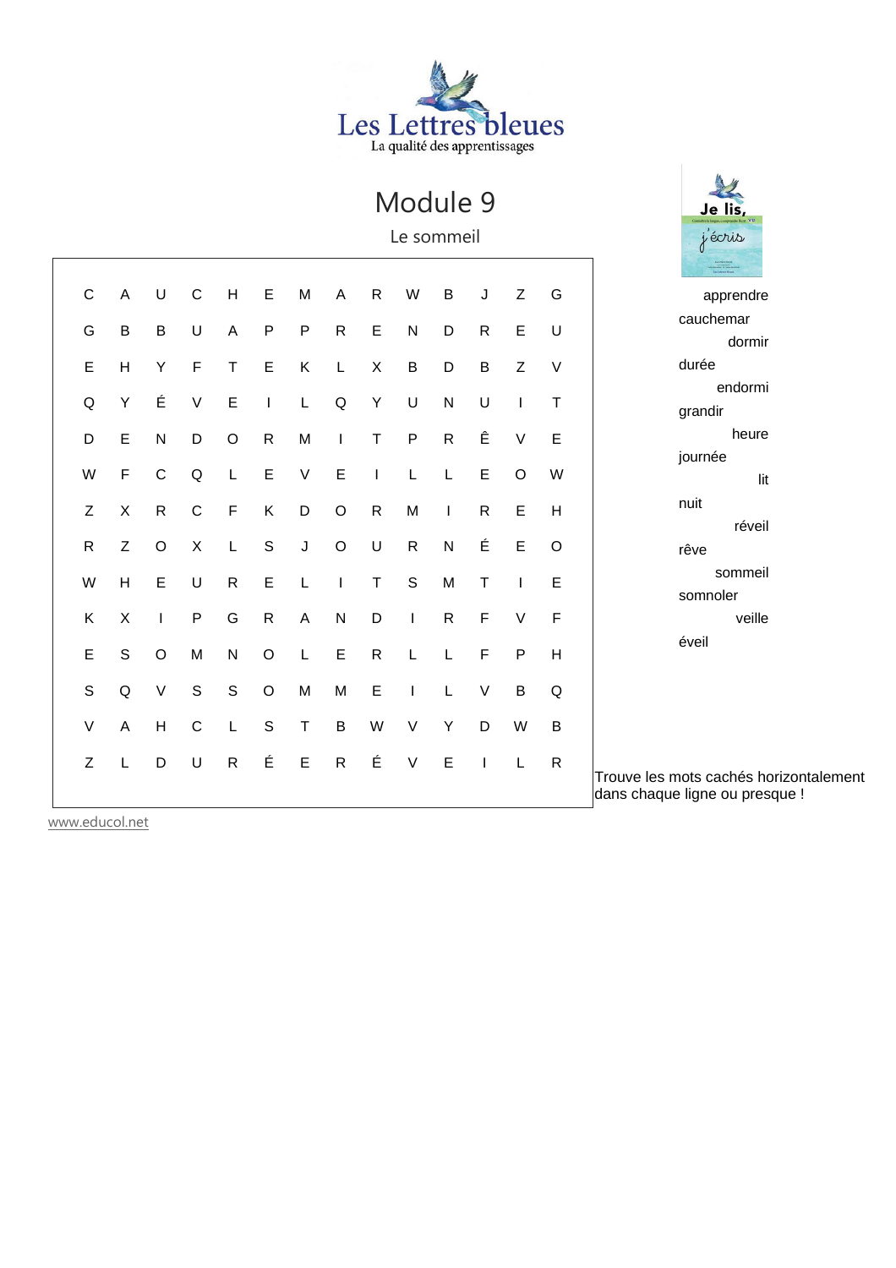

Je lis,

j'écris

Le sommeil

| $\mathsf{C}$ | A           | U            | $\mathsf C$  | H            | E            | M            | $\mathsf{A}$ | $\mathsf{R}$ | W            | $\sf B$      | J            | Z       | G            | apprendre                              |
|--------------|-------------|--------------|--------------|--------------|--------------|--------------|--------------|--------------|--------------|--------------|--------------|---------|--------------|----------------------------------------|
| G            | B           | $\sf B$      | U            | A            | $\mathsf{P}$ | $\mathsf{P}$ | $\mathsf{R}$ | E            | ${\sf N}$    | D            | $\mathsf{R}$ | E       | U            | cauchemar                              |
|              |             |              |              |              |              |              |              |              |              |              |              |         |              | dormir                                 |
| E            | H           | Υ            | $\mathsf F$  | $\mathsf T$  | E            | Κ            | L            | X            | $\sf B$      | D            | $\sf B$      | Z       | $\vee$       | durée                                  |
| Q            | Υ           | É            | $\vee$       | $\mathsf E$  | $\mathbf{I}$ | L            | Q            | Υ            | U            | ${\sf N}$    | U            |         | T            | endormi                                |
|              |             |              |              |              |              |              |              |              |              |              |              |         |              | grandir<br>heure                       |
| D            | E           | ${\sf N}$    | D            | $\circ$      | ${\sf R}$    | M            | $\mathbf{I}$ | T            | $\sf P$      | ${\sf R}$    | Ê            | V       | $\mathsf E$  | journée                                |
| W            | F           | $\mathsf C$  | Q            |              | $\mathsf E$  | $\vee$       | $\mathsf E$  |              | L            | L            | $\mathsf E$  | $\circ$ | W            | lit                                    |
|              |             |              |              |              |              |              |              |              |              |              |              |         |              | nuit                                   |
| Z            | X           | ${\sf R}$    | $\mathsf C$  | $\mathsf F$  | Κ            | D            | $\mathsf O$  | ${\sf R}$    | M            | $\mathbf{I}$ | $\mathsf{R}$ | E       | H            | réveil                                 |
| $\mathsf{R}$ | Z           | $\circ$      | X            | L            | S            | J            | $\circ$      | U            | ${\sf R}$    | ${\sf N}$    | É            | E       | $\circ$      | rêve                                   |
| W            | H           | E            | U            | $\mathsf{R}$ | Ε            | L            | $\mathbf{I}$ | $\top$       | $\mathbb S$  | M            | T            |         | Ε            | sommeil                                |
|              |             |              |              |              |              |              |              |              |              |              |              |         |              | somnoler                               |
| K            | X           | $\mathbf{I}$ | $\mathsf{P}$ | G            | $\mathsf{R}$ | A            | ${\sf N}$    | D            | $\mathbf{I}$ | $\mathsf{R}$ | $\mathsf{F}$ | $\vee$  | $\mathsf F$  | veille                                 |
| E            | $\mathsf S$ | $\mathsf O$  | M            | ${\sf N}$    | O            | L            | Ε            | ${\sf R}$    |              | L            | F            | P       | H            | éveil                                  |
|              |             |              |              |              |              |              |              |              |              |              |              |         |              |                                        |
| $\mathsf S$  | Q           | $\sf V$      | $\mathsf S$  | $\mathsf S$  | $\circ$      | M            | M            | E            | $\mathbf{I}$ | L            | $\vee$       | B       | Q            |                                        |
| $\vee$       | A           | H            | $\mathsf{C}$ |              | $\mathsf{S}$ | Τ            | $\sf B$      | W            | V            | Υ            | D            | W       | B            |                                        |
|              |             |              |              |              |              |              |              |              |              |              |              |         |              |                                        |
| Z            |             | D            | U            | $\mathsf{R}$ | É            | $\mathsf E$  | $\mathsf{R}$ | É            | $\vee$       | $\mathsf E$  |              | L       | $\mathsf{R}$ | Trouve les mots cachés horizontalement |
|              |             |              |              |              |              |              |              |              |              |              |              |         |              | dans chaque ligne ou presque !         |
|              |             |              |              |              |              |              |              |              |              |              |              |         |              |                                        |